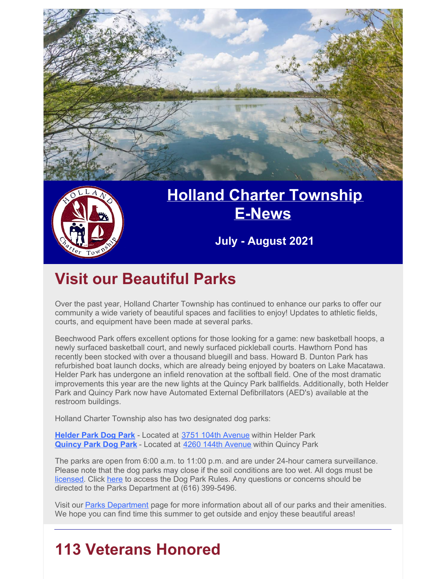



## **Holland Charter [Township](http://www.hct.holland.mi.us/) [E-News](http://www.hct.holland.mi.us/)**

**July - August 2021**

## **Visit our Beautiful Parks**

Over the past year, Holland Charter Township has continued to enhance our parks to offer our community a wide variety of beautiful spaces and facilities to enjoy! Updates to athletic fields, courts, and equipment have been made at several parks.

Beechwood Park offers excellent options for those looking for a game: new basketball hoops, a newly surfaced basketball court, and newly surfaced pickleball courts. Hawthorn Pond has recently been stocked with over a thousand bluegill and bass. Howard B. Dunton Park has refurbished boat launch docks, which are already being enjoyed by boaters on Lake Macatawa. Helder Park has undergone an infield renovation at the softball field. One of the most dramatic improvements this year are the new lights at the Quincy Park ballfields. Additionally, both Helder Park and Quincy Park now have Automated External Defibrillators (AED's) available at the restroom buildings.

Holland Charter Township also has two designated dog parks:

**[Helder](https://www.hct.holland.mi.us/departments/parks/helder-park-dog-park) Park Dog Park** - Located at 3751 104th [Avenue](https://goo.gl/maps/aiEvSHZ7yUvqKXqC9) within Helder Park **[Quincy](https://www.hct.holland.mi.us/departments/parks/quincy-park-dog-park) Park Dog Park** - Located at 4260 144th [Avenue](https://goo.gl/maps/fQqrJjasQdykXGNs9) within Quincy Park

The parks are open from 6:00 a.m. to 11:00 p.m. and are under 24-hour camera surveillance. Please note that the dog parks may close if the soil conditions are too wet. All dogs must be [licensed](http://hct.holland.mi.us/departments/treasurer/dog-licenses). Click [here](http://hct.holland.mi.us/images/stories/hollandcharter/Documents/Parks/dog park rules.pdf) to access the Dog Park Rules. Any questions or concerns should be directed to the Parks Department at (616) 399-5496.

Visit our Parks [Department](https://hct.holland.mi.us/departments/parks) page for more information about all of our parks and their amenities. We hope you can find time this summer to get outside and enjoy these beautiful areas!

# **113 Veterans Honored**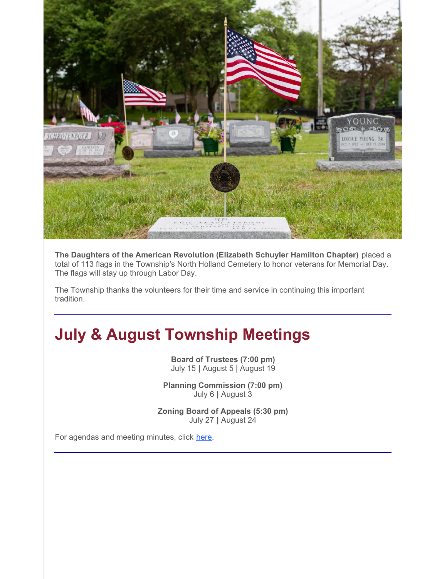

**The Daughters of the American Revolution (Elizabeth Schuyler Hamilton Chapter)** placed a total of 113 flags in the Township's North Holland Cemetery to honor veterans for Memorial Day. The flags will stay up through Labor Day.

The Township thanks the volunteers for their time and service in continuing this important tradition.

## **July & August Township Meetings**

**Board of Trustees (7:00 pm)** July 15 | August 5 | August 19

**Planning Commission (7:00 pm)** July 6 **|** August 3

**Zoning Board of Appeals (5:30 pm)** July 27 **|** August 24

For agendas and meeting minutes, click [here](https://www.hct.holland.mi.us/agendas-minutes).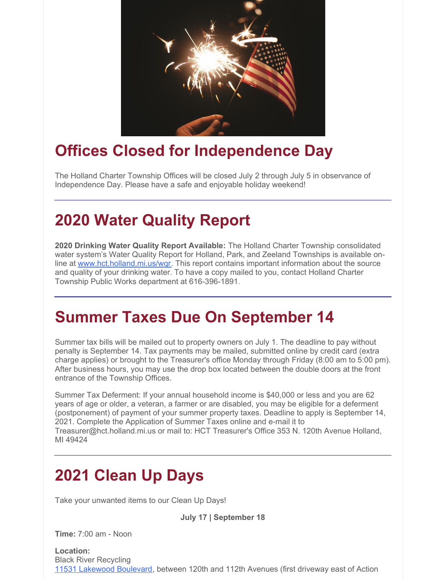

## **Offices Closed for Independence Day**

The Holland Charter Township Offices will be closed July 2 through July 5 in observance of Independence Day. Please have a safe and enjoyable holiday weekend!

## **2020 Water Quality Report**

**2020 Drinking Water Quality Report Available:** The Holland Charter Township consolidated water system's Water Quality Report for Holland, Park, and Zeeland Townships is available online at [www.hct.holland.mi.us/wqr](http://www.hct.holland.mi.us/wqr). This report contains important information about the source and quality of your drinking water. To have a copy mailed to you, contact Holland Charter Township Public Works department at 616-396-1891.

### **Summer Taxes Due On September 14**

Summer tax bills will be mailed out to property owners on July 1. The deadline to pay without penalty is September 14. Tax payments may be mailed, submitted online by credit card (extra charge applies) or brought to the Treasurer's office Monday through Friday (8:00 am to 5:00 pm). After business hours, you may use the drop box located between the double doors at the front entrance of the Township Offices.

Summer Tax Deferment: If your annual household income is \$40,000 or less and you are 62 years of age or older, a veteran, a farmer or are disabled, you may be eligible for a deferment (postponement) of payment of your summer property taxes. Deadline to apply is September 14, 2021. Complete the Application of Summer Taxes online and e-mail it to Treasurer@hct.holland.mi.us or mail to: HCT Treasurer's Office 353 N. 120th Avenue Holland, MI 49424

### **2021 Clean Up Days**

Take your unwanted items to our Clean Up Days!

**July 17 | September 18**

**Time:** 7:00 am - Noon

**Location:** Black River Recycling 11531 [Lakewood](https://goo.gl/maps/sVKkwpL1B9Thbtgh6) Boulevard, between 120th and 112th Avenues (first driveway east of Action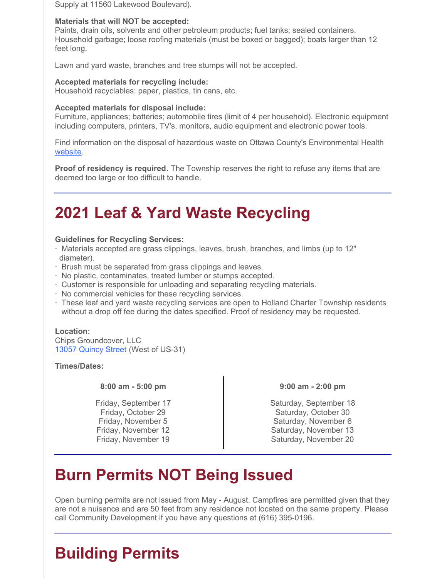Supply at 11560 Lakewood Boulevard).

#### **Materials that will NOT be accepted:**

Paints, drain oils, solvents and other petroleum products; fuel tanks; sealed containers. Household garbage; loose roofing materials (must be boxed or bagged); boats larger than 12 feet long.

Lawn and yard waste, branches and tree stumps will not be accepted.

#### **Accepted materials for recycling include:**

Household recyclables: paper, plastics, tin cans, etc.

#### **Accepted materials for disposal include:**

Furniture, appliances; batteries; automobile tires (limit of 4 per household). Electronic equipment including computers, printers, TV's, monitors, audio equipment and electronic power tools.

Find information on the disposal of hazardous waste on Ottawa County's Environmental Health [website](https://www.miottawa.org/Health/OCHD/eco.htm).

**Proof of residency is required**. The Township reserves the right to refuse any items that are deemed too large or too difficult to handle.

### **2021 Leaf & Yard Waste Recycling**

#### **Guidelines for Recycling Services:**

- · Materials accepted are grass clippings, leaves, brush, branches, and limbs (up to 12" diameter).
- · Brush must be separated from grass clippings and leaves.
- · No plastic, contaminates, treated lumber or stumps accepted.
- · Customer is responsible for unloading and separating recycling materials.
- · No commercial vehicles for these recycling services.
- · These leaf and yard waste recycling services are open to Holland Charter Township residents without a drop off fee during the dates specified. Proof of residency may be requested.

#### **Location:**

Chips Groundcover, LLC 13057 [Quincy](https://goo.gl/maps/GzuMexp8JEsLTvWk7) Street (West of US-31)

**Times/Dates:**

#### **8:00 am - 5:00 pm**

Friday, September 17 Friday, October 29 Friday, November 5 Friday, November 12 Friday, November 19

#### **9:00 am - 2:00 pm**

Saturday, September 18 Saturday, October 30 Saturday, November 6 Saturday, November 13 Saturday, November 20

### **Burn Permits NOT Being Issued**

Open burning permits are not issued from May - August. Campfires are permitted given that they are not a nuisance and are 50 feet from any residence not located on the same property. Please call Community Development if you have any questions at (616) 395-0196.

### **Building Permits**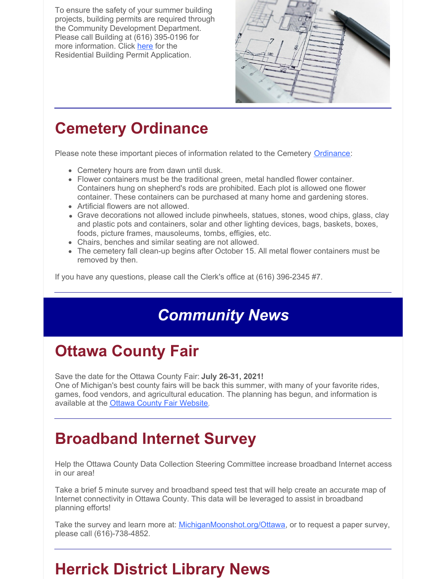To ensure the safety of your summer building projects, building permits are required through the Community Development Department. Please call Building at (616) 395-0196 for more information. Click [here](https://hct.holland.mi.us/forms/building-department-forms-information-packets/forms-1/91-residential-building-permit-application/file) for the Residential Building Permit Application.



# **Cemetery Ordinance**

Please note these important pieces of information related to the Cemetery [Ordinance](https://library.municode.com/mi/holland_charter_township,_(ottawa_co.)/codes/code_of_ordinances?nodeId=COOR_CH8CE):

- Cemetery hours are from dawn until dusk.
- Flower containers must be the traditional green, metal handled flower container. Containers hung on shepherd's rods are prohibited. Each plot is allowed one flower container. These containers can be purchased at many home and gardening stores.
- Artificial flowers are not allowed.
- Grave decorations not allowed include pinwheels, statues, stones, wood chips, glass, clay and plastic pots and containers, solar and other lighting devices, bags, baskets, boxes, foods, picture frames, mausoleums, tombs, effigies, etc.
- Chairs, benches and similar seating are not allowed.
- The cemetery fall clean-up begins after October 15. All metal flower containers must be removed by then.

If you have any questions, please call the Clerk's office at (616) 396-2345 #7.

### *Community News*

### **Ottawa County Fair**

Save the date for the Ottawa County Fair: **July 26-31, 2021!** One of Michigan's best county fairs will be back this summer, with many of your favorite rides, games, food vendors, and agricultural education. The planning has begun, and information is available at the Ottawa County Fair [Website](https://www.ottawacountyfair.com/).

### **Broadband Internet Survey**

Help the Ottawa County Data Collection Steering Committee increase broadband Internet access in our area!

Take a brief 5 minute survey and broadband speed test that will help create an accurate map of Internet connectivity in Ottawa County. This data will be leveraged to assist in broadband planning efforts!

Take the survey and learn more at: [MichiganMoonshot.org/Ottawa](https://www.merit.edu/Ottawa/), or to request a paper survey, please call (616)-738-4852.

## **Herrick District Library News**